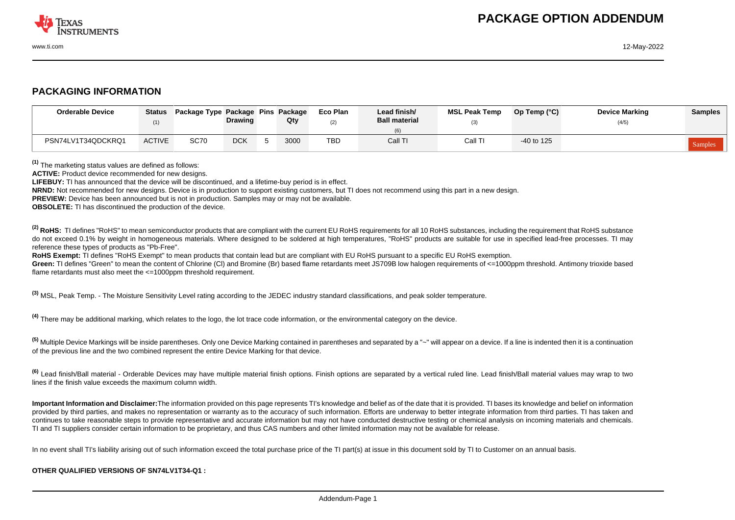

## **PACKAGING INFORMATION**

| <b>Orderable Device</b> | <b>Status</b> | Package Type Package Pins Package | <b>Drawing</b> | Qty  | Eco Plan<br>(2) | Lead finish/<br><b>Ball material</b> | <b>MSL Peak Temp</b> | Op Temp (°C) | <b>Device Marking</b><br>(4/5) | <b>Samples</b> |
|-------------------------|---------------|-----------------------------------|----------------|------|-----------------|--------------------------------------|----------------------|--------------|--------------------------------|----------------|
| PSN74LV1T34QDCKRQ1      | <b>ACTIVE</b> | <b>SC70</b>                       | <b>DCK</b>     | 3000 | <b>TBD</b>      | Call TI                              | Call TI              | $-40$ to 125 |                                | Samples        |

**(1)** The marketing status values are defined as follows:

**ACTIVE:** Product device recommended for new designs.

**LIFEBUY:** TI has announced that the device will be discontinued, and a lifetime-buy period is in effect.

**NRND:** Not recommended for new designs. Device is in production to support existing customers, but TI does not recommend using this part in a new design.

**PREVIEW:** Device has been announced but is not in production. Samples may or may not be available.

**OBSOLETE:** TI has discontinued the production of the device.

<sup>(2)</sup> RoHS: TI defines "RoHS" to mean semiconductor products that are compliant with the current EU RoHS requirements for all 10 RoHS substances, including the requirement that RoHS substance do not exceed 0.1% by weight in homogeneous materials. Where designed to be soldered at high temperatures, "RoHS" products are suitable for use in specified lead-free processes. TI may reference these types of products as "Pb-Free".

**RoHS Exempt:** TI defines "RoHS Exempt" to mean products that contain lead but are compliant with EU RoHS pursuant to a specific EU RoHS exemption.

Green: TI defines "Green" to mean the content of Chlorine (CI) and Bromine (Br) based flame retardants meet JS709B low halogen requirements of <=1000ppm threshold. Antimony trioxide based flame retardants must also meet the <=1000ppm threshold requirement.

**(3)** MSL, Peak Temp. - The Moisture Sensitivity Level rating according to the JEDEC industry standard classifications, and peak solder temperature.

**(4)** There may be additional marking, which relates to the logo, the lot trace code information, or the environmental category on the device.

**(5)** Multiple Device Markings will be inside parentheses. Only one Device Marking contained in parentheses and separated by a "~" will appear on a device. If a line is indented then it is a continuation of the previous line and the two combined represent the entire Device Marking for that device.

**(6)** Lead finish/Ball material - Orderable Devices may have multiple material finish options. Finish options are separated by a vertical ruled line. Lead finish/Ball material values may wrap to two lines if the finish value exceeds the maximum column width.

**Important Information and Disclaimer:**The information provided on this page represents TI's knowledge and belief as of the date that it is provided. TI bases its knowledge and belief on information provided by third parties, and makes no representation or warranty as to the accuracy of such information. Efforts are underway to better integrate information from third parties. TI has taken and continues to take reasonable steps to provide representative and accurate information but may not have conducted destructive testing or chemical analysis on incoming materials and chemicals. TI and TI suppliers consider certain information to be proprietary, and thus CAS numbers and other limited information may not be available for release.

In no event shall TI's liability arising out of such information exceed the total purchase price of the TI part(s) at issue in this document sold by TI to Customer on an annual basis.

## **OTHER QUALIFIED VERSIONS OF SN74LV1T34-Q1 :**